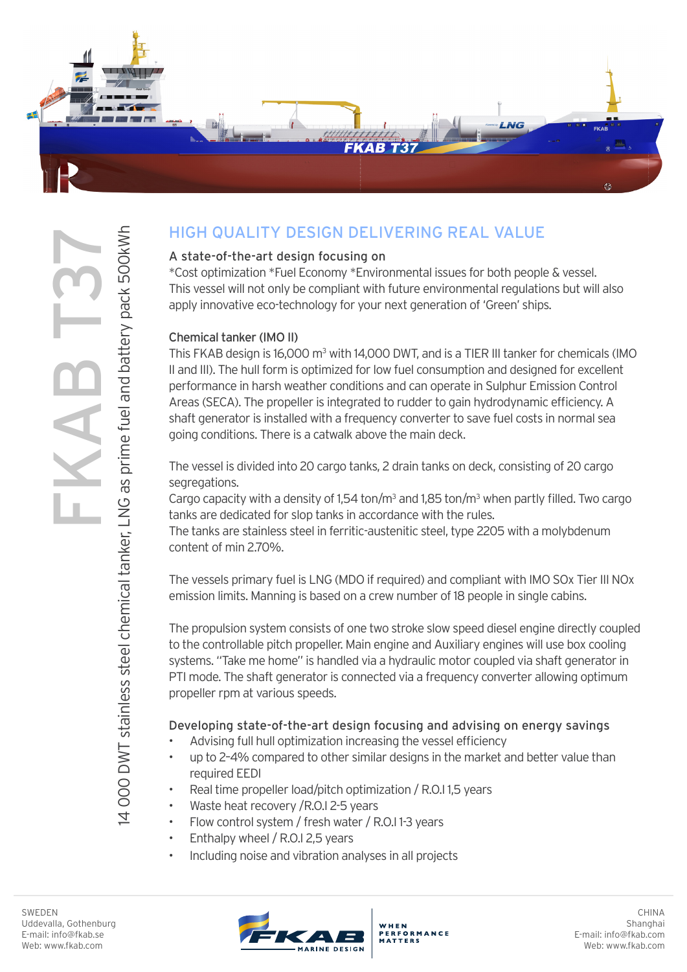

# HIGH QUALITY DESIGN DELIVERING REAL VALUE

## A state-of-the-art design focusing on

\*Cost optimization \*Fuel Economy \*Environmental issues for both people & vessel. This vessel will not only be compliant with future environmental regulations but will also apply innovative eco-technology for your next generation of 'Green' ships.

#### Chemical tanker (IMO II)

This FKAB design is 16,000 m<sup>3</sup> with 14,000 DWT, and is a TIER III tanker for chemicals (IMO II and III). The hull form is optimized for low fuel consumption and designed for excellent performance in harsh weather conditions and can operate in Sulphur Emission Control Areas (SECA). The propeller is integrated to rudder to gain hydrodynamic efficiency. A shaft generator is installed with a frequency converter to save fuel costs in normal sea going conditions. There is a catwalk above the main deck.

The vessel is divided into 20 cargo tanks, 2 drain tanks on deck, consisting of 20 cargo segregations.

Cargo capacity with a density of  $1,54$  ton/m<sup>3</sup> and  $1,85$  ton/m<sup>3</sup> when partly filled. Two cargo tanks are dedicated for slop tanks in accordance with the rules.

The tanks are stainless steel in ferritic-austenitic steel, type 2205 with a molybdenum content of min 2.70%.

The vessels primary fuel is LNG (MDO if required) and compliant with IMO SOx Tier III NOx emission limits. Manning is based on a crew number of 18 people in single cabins.

The propulsion system consists of one two stroke slow speed diesel engine directly coupled to the controllable pitch propeller. Main engine and Auxiliary engines will use box cooling systems. "Take me home" is handled via a hydraulic motor coupled via shaft generator in PTI mode. The shaft generator is connected via a frequency converter allowing optimum propeller rpm at various speeds.

## Developing state-of-the-art design focusing and advising on energy savings

- Advising full hull optimization increasing the vessel efficiency
- up to 2–4% compared to other similar designs in the market and better value than required EEDI
- Real time propeller load/pitch optimization / R.O.I 1,5 years
- Waste heat recovery / R.O.I 2-5 years
- Flow control system / fresh water / R.O.I 1-3 years
- Enthalpy wheel / R.O.I 2,5 years
- Including noise and vibration analyses in all projects

14 000 DWT stainless steel chemical tanker, LNG as prime fuel and battery pack 500kWh

4 000 DWT stainless steel chemical tanker, LNG as prime fuel and battery pack 500kWh